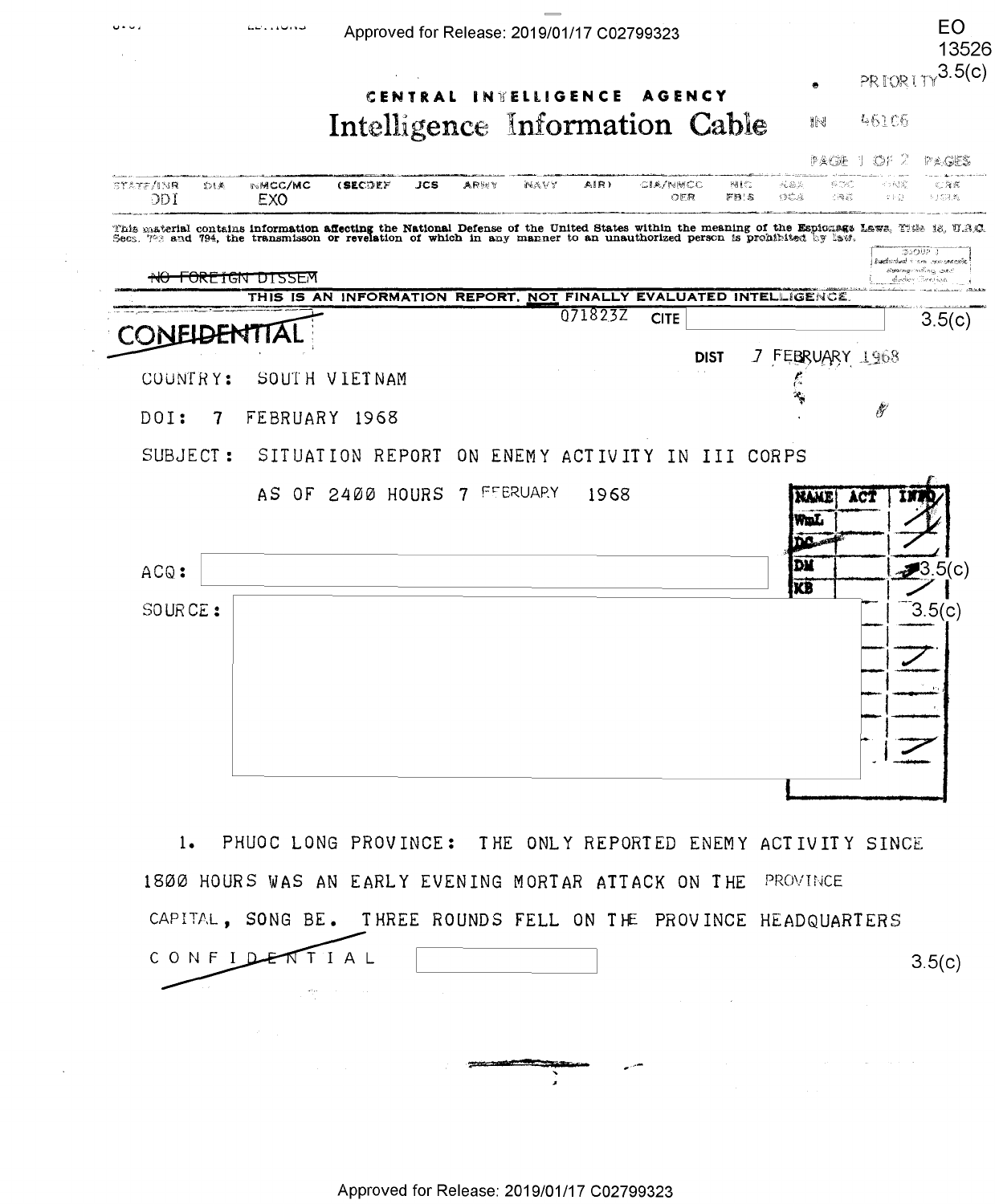

1800 HOURS WAS AN EARLY EVENING MORTAR ATTACK ON THE PROVINCE CAPITAL, SONG BE. THREE ROUNDS FELL ON THE PROVINCE HEADQUARTERS CONFIDENT TIAL  $3.5(c)$